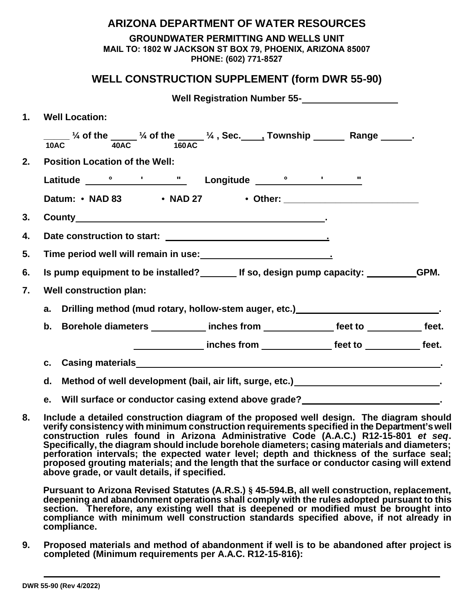|    | <b>ARIZONA DEPARTMENT OF WATER RESOURCES</b>                                                                                                                                                                                         |  |  |  |  |  |
|----|--------------------------------------------------------------------------------------------------------------------------------------------------------------------------------------------------------------------------------------|--|--|--|--|--|
|    | <b>GROUNDWATER PERMITTING AND WELLS UNIT</b><br>MAIL TO: 1802 W JACKSON ST BOX 79, PHOENIX, ARIZONA 85007<br>PHONE: (602) 771-8527                                                                                                   |  |  |  |  |  |
|    | <b>WELL CONSTRUCTION SUPPLEMENT (form DWR 55-90)</b>                                                                                                                                                                                 |  |  |  |  |  |
|    | Well Registration Number 55-<br><u> </u>                                                                                                                                                                                             |  |  |  |  |  |
| 1. | <b>Well Location:</b>                                                                                                                                                                                                                |  |  |  |  |  |
|    | $\frac{1}{10AC}$ % of the $\frac{1}{40AC}$ % of the $\frac{1}{160AC}$ %, Sec. Township Range Range                                                                                                                                   |  |  |  |  |  |
| 2. | <b>Position Location of the Well:</b>                                                                                                                                                                                                |  |  |  |  |  |
|    | Latitude <u>Consumers Constantine Constantine Constantine Constantine Constantine Constantine Constantine Constantine Constantine Constantine Constantine Constantine Constantine Constantine Constantine Constantine Constantin</u> |  |  |  |  |  |
|    |                                                                                                                                                                                                                                      |  |  |  |  |  |
| 3. | County experience of the country of the country of the country of the country of the country of the country of the country of the country of the country of the country of the country of the country of the country of the co       |  |  |  |  |  |
| 4. |                                                                                                                                                                                                                                      |  |  |  |  |  |
| 5. |                                                                                                                                                                                                                                      |  |  |  |  |  |
| 6. | Is pump equipment to be installed? If so, design pump capacity: GPM.                                                                                                                                                                 |  |  |  |  |  |
| 7. | <b>Well construction plan:</b>                                                                                                                                                                                                       |  |  |  |  |  |
|    | Drilling method (mud rotary, hollow-stem auger, etc.) [19] Drilling method (mud rotary, hollow-stem auger, etc.)<br>a.                                                                                                               |  |  |  |  |  |
|    | b. Borehole diameters ____________inches from _______________feet to ___________feet.                                                                                                                                                |  |  |  |  |  |
|    | ________________inches from _________________feet to _____________feet.                                                                                                                                                              |  |  |  |  |  |
|    |                                                                                                                                                                                                                                      |  |  |  |  |  |
|    | Method of well development (bail, air lift, surge, etc.) Method of well development (bail, air lift, surge, etc.)<br>d.                                                                                                              |  |  |  |  |  |
|    | e. Will surface or conductor casing extend above grade?<br><u> 1989 - Johann Barbara, martin e</u>                                                                                                                                   |  |  |  |  |  |

**8. Include a detailed construction diagram of the proposed well design. The diagram should verify consistency with minimum construction requirements specified in the Department's well construction rules found in Arizona Administrative Code (A.A.C.) R12-15-801** *et seq***. Specifically, the diagram should include borehole diameters; casing materials and diameters; perforation intervals; the expected water level; depth and thickness of the surface seal; proposed grouting materials; and the length that the surface or conductor casing will extend above grade, or vault details, if specified.**

**Pursuant to Arizona Revised Statutes (A.R.S.) § 45-594.B, all well construction, replacement, deepening and abandonment operations shall comply with the rules adopted pursuant to this section. Therefore, any existing well that is deepened or modified must be brought into compliance with minimum well construction standards specified above, if not already in compliance.**

**9. Proposed materials and method of abandonment if well is to be abandoned after project is completed (Minimum requirements per A.A.C. R12-15-816):**